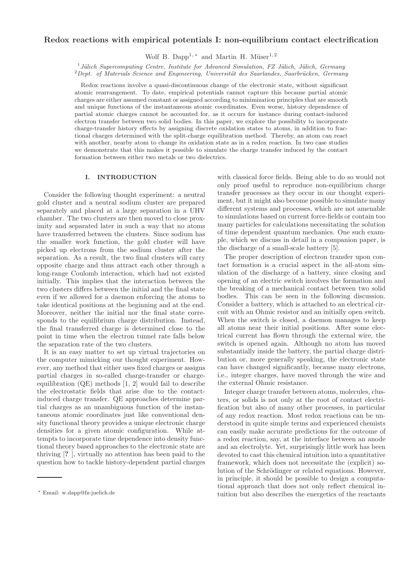# Redox reactions with empirical potentials I: non-equilibrium contact electrification

Wolf B. Dapp<sup>1,\*</sup> and Martin H. Müser<sup>1,2</sup>

<sup>1</sup> Jülich Supercomputing Centre, Institute for Advanced Simulation, FZ Jülich, Jülich, Germany  $2$ Dept. of Materials Science and Engineering, Universität des Saarlandes, Saarbrücken, Germany

Redox reactions involve a quasi-discontinuous change of the electronic state, without significant atomic rearrangement. To date, empirical potentials cannot capture this because partial atomic charges are either assumed constant or assigned according to minimization principles that are smooth and unique functions of the instantaneous atomic coordinates. Even worse, history dependence of partial atomic charges cannot be accounted for, as it occurs for instance during contact-induced electron transfer between two solid bodies. In this paper, we explore the possibility to incorporate charge-transfer history effects by assigning discrete oxidation states to atoms, in addition to fractional charges determined with the split-charge equilibration method. Thereby, an atom can react with another, nearby atom to change its oxidation state as in a redox reaction. In two case studies we demonstrate that this makes it possible to simulate the charge transfer induced by the contact formation between either two metals or two dielectrics.

# I. INTRODUCTION

Consider the following thought experiment: a neutral gold cluster and a neutral sodium cluster are prepared separately and placed at a large separation in a UHV chamber. The two clusters are then moved to close proximity and separated later in such a way that no atoms have transferred between the clusters. Since sodium has the smaller work function, the gold cluster will have picked up electrons from the sodium cluster after the separation. As a result, the two final clusters will carry opposite charge and thus attract each other through a long-range Coulomb interaction, which had not existed initially. This implies that the interaction between the two clusters differs between the initial and the final state even if we allowed for a daemon enforcing the atoms to take identical positions at the beginning and at the end. Moreover, neither the initial nor the final state corresponds to the equilibrium charge distribution. Instead, the final transferred charge is determined close to the point in time when the electron tunnel rate falls below the separation rate of the two clusters.

It is an easy matter to set up virtual trajectories on the computer mimicking our thought experiment. However, any method that either uses fixed charges or assigns partial charges in so-called charge-transfer or chargeequilibration (QE) methods [1, 2] would fail to describe the electrostatic fields that arise due to the contactinduced charge transfer. QE approaches determine partial charges as an unambiguous function of the instantaneous atomic coordinates just like conventional density functional theory provides a unique electronic charge densities for a given atomic configuration. While attempts to incorporate time dependence into density functional theory based approaches to the electronic state are thriving [? ], virtually no attention has been paid to the question how to tackle history-dependent partial charges with classical force fields. Being able to do so would not only proof useful to reproduce non-equilibrium charge transfer processes as they occur in our thought experiment, but it might also become possible to simulate many different systems and processes, which are not amenable to simulations based on current force-fields or contain too many particles for calculations necessitating the solution of time dependent quantum mechanics. One such example, which we discuss in detail in a companion paper, is the discharge of a small-scale battery [5].

The proper description of electron transfer upon contact formation is a crucial aspect in the all-atom simulation of the discharge of a battery, since closing and opening of an electric switch involves the formation and the breaking of a mechanical contact between two solid bodies. This can be seen in the following discussion. Consider a battery, which is attached to an electrical circuit with an Ohmic resistor and an initially open switch. When the switch is closed, a daemon manages to keep all atoms near their initial positions. After some electrical current has flown through the external wire, the switch is opened again. Although no atom has moved substantially inside the battery, the partial charge distribution or, more generally speaking, the electronic state can have changed significantly, because many electrons, i.e., integer charges, have moved through the wire and the external Ohmic resistance.

Integer charge transfer between atoms, molecules, clusters, or solids is not only at the root of contact electrification but also of many other processes, in particular of any redox reaction. Most redox reactions can be understood in quite simple terms and experienced chemists can easily make accurate predictions for the outcome of a redox reaction, say, at the interface between an anode and an electrolyte. Yet, surprisingly little work has been devoted to cast this chemical intuition into a quantitative framework, which does not necessitate the (explicit) solution of the Schrödinger or related equations. However, in principle, it should be possible to design a computational approach that does not only reflect chemical intuition but also describes the energetics of the reactants

<sup>∗</sup> Email: w.dapp@fz-juelich.de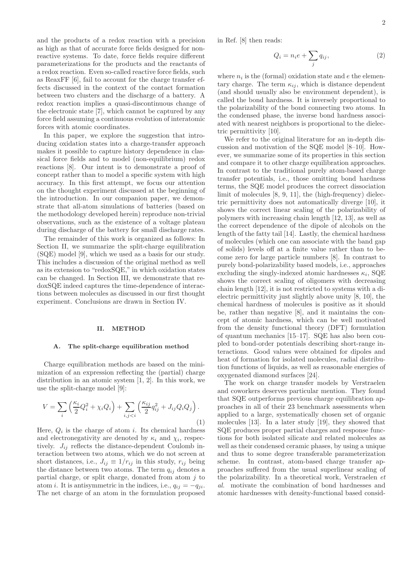and the products of a redox reaction with a precision as high as that of accurate force fields designed for nonreactive systems. To date, force fields require different parameterizations for the products and the reactants of a redox reaction. Even so-called reactive force fields, such as ReaxFF [6], fail to account for the charge transfer effects discussed in the context of the contact formation between two clusters and the discharge of a battery. A redox reaction implies a quasi-discontinuous change of the electronic state [7], which cannot be captured by any force field assuming a continuous evolution of interatomic forces with atomic coordinates.

In this paper, we explore the suggestion that introducing oxidation states into a charge-transfer approach makes it possible to capture history dependence in classical force fields and to model (non-equilibrium) redox reactions [8]. Our intent is to demonstrate a proof of concept rather than to model a specific system with high accuracy. In this first attempt, we focus our attention on the thought experiment discussed at the beginning of the introduction. In our companion paper, we demonstrate that all-atom simulations of batteries (based on the methodology developed herein) reproduce non-trivial observations, such as the existence of a voltage plateau during discharge of the battery for small discharge rates.

The remainder of this work is organized as follows: In Section II, we summarize the split-charge equilibration (SQE) model [9], which we used as a basis for our study. This includes a discussion of the original method as well as its extension to "redoxSQE," in which oxidation states can be changed. In Section III, we demonstrate that redoxSQE indeed captures the time-dependence of interactions between molecules as discussed in our first thought experiment. Conclusions are drawn in Section IV.

#### II. METHOD

### A. The split-charge equilibration method

Charge equilibration methods are based on the minimization of an expression reflecting the (partial) charge distribution in an atomic system [1, 2]. In this work, we use the split-charge model [9]:

$$
V = \sum_{i} \left( \frac{\kappa_i}{2} Q_i^2 + \chi_i Q_i \right) + \sum_{i,j < i} \left( \frac{\kappa_{ij}}{2} q_{ij}^2 + J_{ij} Q_i Q_j \right). \tag{1}
$$

Here,  $Q_i$  is the charge of atom i. Its chemical hardness and electronegativity are denoted by  $\kappa_i$  and  $\chi_i$ , respectively.  $J_{ij}$  reflects the distance-dependent Coulomb interaction between two atoms, which we do not screen at short distances, i.e.,  $J_{ij} \equiv 1/r_{ij}$  in this study,  $r_{ij}$  being the distance between two atoms. The term  $q_{ij}$  denotes a partial charge, or split charge, donated from atom  $j$  to atom *i*. It is antisymmetric in the indices, i.e.,  $q_{ij} = -q_{ji}$ . The net charge of an atom in the formulation proposed in Ref. [8] then reads:

$$
Q_i = n_i e + \sum_j q_{ij},\tag{2}
$$

where  $n_i$  is the (formal) oxidation state and e the elementary charge. The term  $\kappa_{ij}$ , which is distance dependent (and should usually also be environment dependent), is called the bond hardness. It is inversely proportional to the polarizability of the bond connecting two atoms. In the condensed phase, the inverse bond hardness associated with nearest neighbors is proportional to the dielectric permittivity [10].

We refer to the original literature for an in-depth discussion and motivation of the SQE model [8–10]. However, we summarize some of its properties in this section and compare it to other charge equilibration approaches. In contrast to the traditional purely atom-based charge transfer potentials, i.e., those omitting bond hardness terms, the SQE model produces the correct dissociation limit of molecules [8, 9, 11], the (high-frequency) dielectric permittivity does not automatically diverge [10], it shows the correct linear scaling of the polarizability of polymers with increasing chain length [12, 13], as well as the correct dependence of the dipole of alcohols on the length of the fatty tail [14]. Lastly, the chemical hardness of molecules (which one can associate with the band gap of solids) levels off at a finite value rather than to become zero for large particle numbers [8]. In contrast to purely bond-polarizability based models, i.e., approaches excluding the singly-indexed atomic hardnesses  $\kappa_i$ , SQE shows the correct scaling of oligomers with decreasing chain length [12], it is not restricted to systems with a dielectric permittivity just slightly above unity [8, 10], the chemical hardness of molecules is positive as it should be, rather than negative [8], and it maintains the concept of atomic hardness, which can be well motivated from the density functional theory (DFT) formulation of quantum mechanics [15–17]. SQE has also been coupled to bond-order potentials describing short-range interactions. Good values were obtained for dipoles and heat of formation for isolated molecules, radial distribution functions of liquids, as well as reasonable energies of oxygenated diamond surfaces [24].

The work on charge transfer models by Verstraelen and coworkers deserves particular mention. They found that SQE outperforms previous charge equilibration approaches in all of their 23 benchmark assessments when applied to a large, systematically chosen set of organic molecules [13]. In a later study [19], they showed that SQE produces proper partial charges and response functions for both isolated silicate and related molecules as well as their condensed ceramic phases, by using a unique and thus to some degree transferable parameterization scheme. In contrast, atom-based charge transfer approaches suffered from the usual superlinear scaling of the polarizability. In a theoretical work, Verstraelen et al. motivate the combination of bond hardnesses and atomic hardnesses with density-functional based consid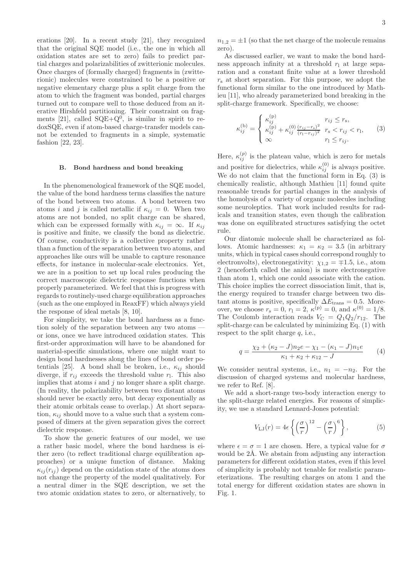erations [20]. In a recent study [21], they recognized that the original SQE model (i.e., the one in which all oxidation states are set to zero) fails to predict partial charges and polarizabilities of zwitterionic molecules. Once charges of (formally charged) fragments in (zwitterionic) molecules were constrained to be a positive or negative elementary charge plus a split charge from the atom to which the fragment was bonded, partial charges turned out to compare well to those deduced from an iterative Hirshfeld partitioning. Their constraint on fragments [21], called  $SQE+Q^0$ , is similar in spirit to redoxSQE, even if atom-based charge-transfer models cannot be extended to fragments in a simple, systematic fashion [22, 23].

## B. Bond hardness and bond breaking

In the phenomenological framework of the SQE model, the value of the bond hardness terms classifies the nature of the bond between two atoms. A bond between two atoms i and j is called metallic if  $\kappa_{ij} = 0$ . When two atoms are not bonded, no split charge can be shared, which can be expressed formally with  $\kappa_{ii} = \infty$ . If  $\kappa_{ii}$ is positive and finite, we classify the bond as dielectric. Of course, conductivity is a collective property rather than a function of the separation between two atoms, and approaches like ours will be unable to capture resonance effects, for instance in molecular-scale electronics. Yet, we are in a position to set up local rules producing the correct macroscopic dielectric response functions when properly parameterized. We feel that this is progress with regards to routinely-used charge equilibration approaches (such as the one employed in ReaxFF) which always yield the response of ideal metals [8, 10].

For simplicity, we take the bond hardness as a function solely of the separation between any two atoms or ions, once we have introduced oxidation states. This first-order approximation will have to be abandoned for material-specific simulations, where one might want to design bond hardnesses along the lines of bond order potentials [25]. A bond shall be broken, i.e.,  $\kappa_{ij}$  should diverge, if  $r_{ij}$  exceeds the threshold value  $r_1$ . This also implies that atoms  $i$  and  $j$  no longer share a split charge. (In reality, the polarizability between two distant atoms should never be exactly zero, but decay exponentially as their atomic orbitals cease to overlap.) At short separation,  $\kappa_{ii}$  should move to a value such that a system composed of dimers at the given separation gives the correct dielectric response.

To show the generic features of our model, we use a rather basic model, where the bond hardness is either zero (to reflect traditional charge equilibration approaches) or a unique function of distance. Making  $\kappa_{ii}(r_{ii})$  depend on the oxidation state of the atoms does not change the property of the model qualitatively. For a neutral dimer in the SQE description, we set the two atomic oxidation states to zero, or alternatively, to  $n_{1,2} = \pm 1$  (so that the net charge of the molecule remains zero).

As discussed earlier, we want to make the bond hardness approach infinity at a threshold  $r_1$  at large separation and a constant finite value at a lower threshold  $r<sub>s</sub>$  at short separation. For this purpose, we adopt the functional form similar to the one introduced by Mathieu [11], who already parameterized bond breaking in the split-charge framework. Specifically, we choose:

$$
\kappa_{ij}^{(b)} = \begin{cases}\n\kappa_{ij}^{(p)} & r_{ij} \le r_s, \\
\kappa_{ij}^{(p)} + \kappa_{ij}^{(0)} \frac{(r_{ij} - r_s)^2}{(r_1 - r_{ij})^2} & r_s < r_{ij} < r_1, \\
\infty & r_1 \le r_{ij}.\n\end{cases}
$$
\n(3)

Here,  $\kappa_{ij}^{(p)}$  is the plateau value, which is zero for metals and positive for dielectrics, while  $\kappa_{ij}^{(0)}$  is always positive. We do not claim that the functional form in Eq. (3) is chemically realistic, although Mathieu [11] found quite reasonable trends for partial changes in the analysis of the homolysis of a variety of organic molecules including some neuroleptics. That work included results for radicals and transition states, even though the calibration was done on equilibrated structures satisfying the octet rule.

Our diatomic molecule shall be characterized as follows. Atomic hardnesses:  $\kappa_1 = \kappa_2 = 3.5$  (in arbitrary units, which in typical cases should correspond roughly to electronvolts), electronegativity:  $\chi_{1,2} = \pm 1.5$ , i.e., atom 2 (henceforth called the anion) is more electronegative than atom 1, which one could associate with the cation. This choice implies the correct dissociation limit, that is, the energy required to transfer charge between two distant atoms is positive, specifically  $\Delta E_{trans} = 0.5$ . Moreover, we choose  $r_s = 0$ ,  $r_1 = 2$ ,  $\kappa^{(p)} = 0$ , and  $\kappa^{(0)} = 1/8$ . The Coulomb interaction reads  $V_C = Q_1 Q_2/r_{12}$ . The split-charge can be calculated by minimizing Eq. (1) with respect to the split charge  $q$ , i.e.,

$$
q = \frac{\chi_2 + (\kappa_2 - J)n_2 e - \chi_1 - (\kappa_1 - J)n_1 e}{\kappa_1 + \kappa_2 + \kappa_1 - J}
$$
 (4)

We consider neutral systems, i.e.,  $n_1 = -n_2$ . For the discussion of charged systems and molecular hardness, we refer to Ref. [8].

We add a short-range two-body interaction energy to the split-charge related energies. For reasons of simplicity, we use a standard Lennard-Jones potential:

$$
V_{\rm LJ}(r) = 4\epsilon \left\{ \left(\frac{\sigma}{r}\right)^{12} - \left(\frac{\sigma}{r}\right)^{6} \right\},\tag{5}
$$

where  $\epsilon = \sigma = 1$  are chosen. Here, a typical value for  $\sigma$ would be 2Å. We abstain from adjusting any interaction parameters for different oxidation states, even if this level of simplicity is probably not tenable for realistic parameterizations. The resulting charges on atom 1 and the total energy for different oxidation states are shown in Fig. 1.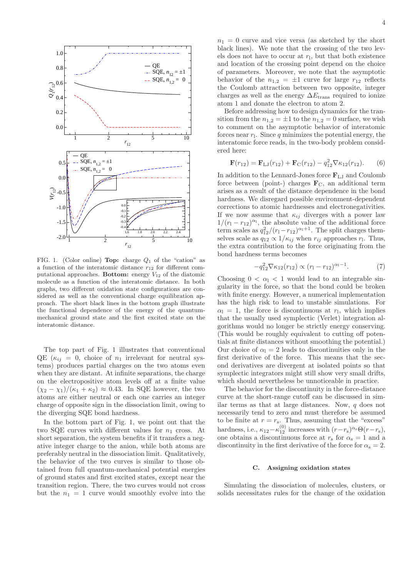

FIG. 1. (Color online) **Top:** charge  $Q_1$  of the "cation" as a function of the interatomic distance  $r_{12}$  for different computational approaches. Bottom: energy  $V_{12}$  of the diatomic molecule as a function of the interatomic distance. In both graphs, two different oxidation state configurations are considered as well as the conventional charge equilibration approach. The short black lines in the bottom graph illustrate the functional dependence of the energy of the quantummechanical ground state and the first excited state on the interatomic distance.

The top part of Fig. 1 illustrates that conventional QE ( $\kappa_{ii} = 0$ , choice of  $n_1$  irrelevant for neutral systems) produces partial charges on the two atoms even when they are distant. At infinite separations, the charge on the electropositive atom levels off at a finite value  $(\chi_2 - \chi_1)/(\kappa_1 + \kappa_2) \approx 0.43$ . In SQE however, the two atoms are either neutral or each one carries an integer charge of opposite sign in the dissociation limit, owing to the diverging SQE bond hardness.

In the bottom part of Fig. 1, we point out that the two SQE curves with different values for  $n_1$  cross. At short separation, the system benefits if it transfers a negative integer charge to the anion, while both atoms are preferably neutral in the dissociation limit. Qualitatively, the behavior of the two curves is similar to those obtained from full quantum-mechanical potential energies of ground states and first excited states, except near the transition region. There, the two curves would not cross but the  $n_1 = 1$  curve would smoothly evolve into the  $n_1 = 0$  curve and vice versa (as sketched by the short black lines). We note that the crossing of the two levels does not have to occur at  $r_1$ , but that both existence and location of the crossing point depend on the choice of parameters. Moreover, we note that the asymptotic behavior of the  $n_{1,2} = \pm 1$  curve for large  $r_{12}$  reflects the Coulomb attraction between two opposite, integer charges as well as the energy  $\Delta E_{trans}$  required to ionize atom 1 and donate the electron to atom 2.

Before addressing how to design dynamics for the transition from the  $n_{1,2} = \pm 1$  to the  $n_{1,2} = 0$  surface, we wish to comment on the asymptotic behavior of interatomic forces near  $r_1$ . Since  $q$  minimizes the potential energy, the interatomic force reads, in the two-body problem considered here:

$$
\mathbf{F}(r_{12}) = \mathbf{F}_{\text{LJ}}(r_{12}) + \mathbf{F}_{\text{C}}(r_{12}) - q_{12}^2 \nabla \kappa_{12}(r_{12}).
$$
 (6)

In addition to the Lennard-Jones force  $\mathbf{F}_{\text{LJ}}$  and Coulomb force between (point-) charges  $\mathbf{F}_C$ , an additional term arises as a result of the distance dependence in the bond hardness. We disregard possible environment-dependent corrections to atomic hardnesses and electronegativities. If we now assume that  $\kappa_{ij}$  diverges with a power law  $1/(r_1 - r_{12})^{\alpha_1}$ , the absolute value of the additional force term scales as  $q_{12}^2/(r_1-r_{12})^{\alpha_1+1}$ . The split charges themselves scale as  $q_{12} \propto 1/\kappa_{ij}$  when  $r_{ij}$  approaches  $r_1$ . Thus, the extra contribution to the force originating from the bond hardness terms becomes

$$
-q_{12}^2 \nabla \kappa_{12}(r_{12}) \propto (r_1 - r_{12})^{\alpha_1 - 1}.
$$
 (7)

Choosing  $0 < \alpha_{\rm l} < 1$  would lead to an integrable singularity in the force, so that the bond could be broken with finite energy. However, a numerical implementation has the high risk to lead to unstable simulations. For  $\alpha_1 = 1$ , the force is discontinuous at  $r_1$ , which implies that the usually used symplectic (Verlet) integration algorithms would no longer be strictly energy conserving. (This would be roughly equivalent to cutting off potentials at finite distances without smoothing the potential.) Our choice of  $\alpha_1 = 2$  leads to discontinuities only in the first derivative of the force. This means that the second derivatives are divergent at isolated points so that symplectic integrators might still show very small drifts, which should nevertheless be unnoticeable in practice.

The behavior for the discontinuity in the force-distance curve at the short-range cutoff can be discussed in similar terms as that at large distances. Now,  $q$  does not necessarily tend to zero and must therefore be assumed to be finite at  $r = r_s$ . Thus, assuming that the "excess" hardness, i.e.,  $\kappa_{12} - \kappa_{12}^{(0)}$  increases with  $(r-r_s)^{\alpha_s}\Theta(r-r_s)$ , one obtains a discontinuous force at  $r_s$  for  $\alpha_s = 1$  and a discontinuity in the first derivative of the force for  $\alpha_s = 2$ .

### C. Assigning oxidation states

Simulating the dissociation of molecules, clusters, or solids necessitates rules for the change of the oxidation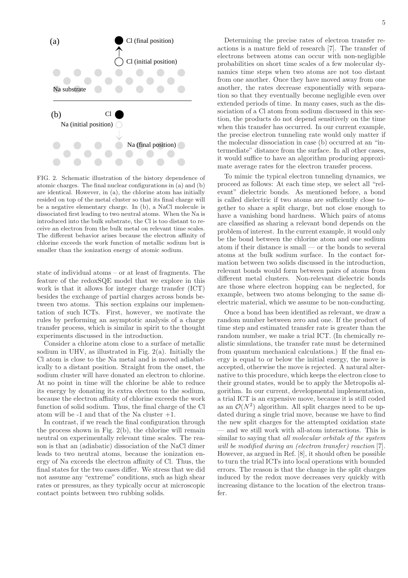

FIG. 2. Schematic illustration of the history dependence of atomic charges. The final nuclear configurations in (a) and (b) are identical. However, in (a), the chlorine atom has initially resided on top of the metal cluster so that its final charge will be a negative elementary charge. In (b), a NaCl molecule is dissociated first leading to two neutral atoms. When the Na is introduced into the bulk substrate, the Cl is too distant to receive an electron from the bulk metal on relevant time scales. The different behavior arises because the electron affinity of chlorine exceeds the work function of metallic sodium but is smaller than the ionization energy of atomic sodium.

state of individual atoms – or at least of fragments. The feature of the redoxSQE model that we explore in this work is that it allows for integer charge transfer (ICT) besides the exchange of partial charges across bonds between two atoms. This section explains our implementation of such ICTs. First, however, we motivate the rules by performing an asymptotic analysis of a charge transfer process, which is similar in spirit to the thought experiments discussed in the introduction.

Consider a chlorine atom close to a surface of metallic sodium in UHV, as illustrated in Fig.  $2(a)$ . Initially the Cl atom is close to the Na metal and is moved adiabatically to a distant position. Straight from the onset, the sodium cluster will have donated an electron to chlorine. At no point in time will the chlorine be able to reduce its energy by donating its extra electron to the sodium, because the electron affinity of chlorine exceeds the work function of solid sodium. Thus, the final charge of the Cl atom will be  $-1$  and that of the Na cluster  $+1$ .

In contrast, if we reach the final configuration through the process shown in Fig. 2(b), the chlorine will remain neutral on experimentally relevant time scales. The reason is that an (adiabatic) dissociation of the NaCl dimer leads to two neutral atoms, because the ionization energy of Na exceeds the electron affinity of Cl. Thus, the final states for the two cases differ. We stress that we did not assume any "extreme" conditions, such as high shear rates or pressures, as they typically occur at microscopic contact points between two rubbing solids.

Determining the precise rates of electron transfer reactions is a mature field of research [7]. The transfer of electrons between atoms can occur with non-negligible probabilities on short time scales of a few molecular dynamics time steps when two atoms are not too distant from one another. Once they have moved away from one another, the rates decrease exponentially with separation so that they eventually become negligible even over extended periods of time. In many cases, such as the dissociation of a Cl atom from sodium discussed in this section, the products do not depend sensitively on the time when this transfer has occurred. In our current example, the precise electron tunneling rate would only matter if the molecular dissociation in case (b) occurred at an "intermediate" distance from the surface. In all other cases, it would suffice to have an algorithm producing approximate average rates for the electron transfer process.

To mimic the typical electron tunneling dynamics, we proceed as follows: At each time step, we select all "relevant" dielectric bonds. As mentioned before, a bond is called dielectric if two atoms are sufficiently close together to share a split charge, but not close enough to have a vanishing bond hardness. Which pairs of atoms are classified as sharing a relevant bond depends on the problem of interest. In the current example, it would only be the bond between the chlorine atom and one sodium atom if their distance is small — or the bonds to several atoms at the bulk sodium surface. In the contact formation between two solids discussed in the introduction, relevant bonds would form between pairs of atoms from different metal clusters. Non-relevant dielectric bonds are those where electron hopping can be neglected, for example, between two atoms belonging to the same dielectric material, which we assume to be non-conducting.

Once a bond has been identified as relevant, we draw a random number between zero and one. If the product of time step and estimated transfer rate is greater than the random number, we make a trial ICT. (In chemically realistic simulations, the transfer rate must be determined from quantum mechanical calculations.) If the final energy is equal to or below the initial energy, the move is accepted, otherwise the move is rejected. A natural alternative to this procedure, which keeps the electron close to their ground states, would be to apply the Metropolis algorithm. In our current, developmental implementation, a trial ICT is an expensive move, because it is still coded as an  $\mathcal{O}(N^2)$  algorithm. All split charges need to be updated during a single trial move, because we have to find the new split charges for the attempted oxidation state — and we still work with all-atom interactions. This is similar to saying that all molecular orbitals of the system will be modified during an (electron transfer) reaction [7]. However, as argued in Ref. [8], it should often be possible to turn the trial ICTs into local operations with bounded errors. The reason is that the change in the split charges induced by the redox move decreases very quickly with increasing distance to the location of the electron transfer.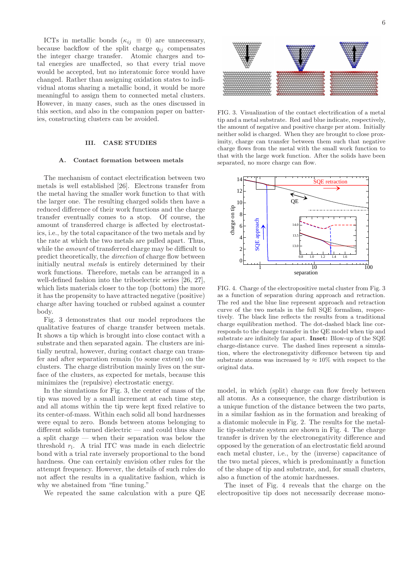ICTs in metallic bonds ( $\kappa_{ij} \equiv 0$ ) are unnecessary, because backflow of the split charge  $q_{ij}$  compensates the integer charge transfer. Atomic charges and total energies are unaffected, so that every trial move would be accepted, but no interatomic force would have changed. Rather than assigning oxidation states to individual atoms sharing a metallic bond, it would be more meaningful to assign them to connected metal clusters. However, in many cases, such as the ones discussed in this section, and also in the companion paper on batteries, constructing clusters can be avoided.

## III. CASE STUDIES

#### A. Contact formation between metals

The mechanism of contact electrification between two metals is well established [26]. Electrons transfer from the metal having the smaller work function to that with the larger one. The resulting charged solids then have a reduced difference of their work functions and the charge transfer eventually comes to a stop. Of course, the amount of transferred charge is affected by electrostatics, i.e., by the total capacitance of the two metals and by the rate at which the two metals are pulled apart. Thus, while the *amount* of transferred charge may be difficult to predict theoretically, the direction of charge flow between initially neutral metals is entirely determined by their work functions. Therefore, metals can be arranged in a well-defined fashion into the triboelectric series [26, 27], which lists materials closer to the top (bottom) the more it has the propensity to have attracted negative (positive) charge after having touched or rubbed against a counter body.

Fig. 3 demonstrates that our model reproduces the qualitative features of charge transfer between metals. It shows a tip which is brought into close contact with a substrate and then separated again. The clusters are initially neutral, however, during contact charge can transfer and after separation remain (to some extent) on the clusters. The charge distribution mainly lives on the surface of the clusters, as expected for metals, because this minimizes the (repulsive) electrostatic energy.

In the simulations for Fig. 3, the center of mass of the tip was moved by a small increment at each time step, and all atoms within the tip were kept fixed relative to its center-of-mass. Within each solid all bond hardnesses were equal to zero. Bonds between atoms belonging to different solids turned dielectric — and could thus share a split charge — when their separation was below the threshold  $r_1$ . A trial ITC was made in each dielectric bond with a trial rate inversely proportional to the bond hardness. One can certainly envision other rules for the attempt frequency. However, the details of such rules do not affect the results in a qualitative fashion, which is why we abstained from "fine tuning."

We repeated the same calculation with a pure QE



FIG. 3. Visualization of the contact electrification of a metal tip and a metal substrate. Red and blue indicate, respectively, the amount of negative and positive charge per atom. Initially neither solid is charged. When they are brought to close proximity, charge can transfer between them such that negative charge flows from the metal with the small work function to that with the large work function. After the solids have been separated, no more charge can flow.



FIG. 4. Charge of the electropositive metal cluster from Fig. 3 as a function of separation during approach and retraction. The red and the blue line represent approach and retraction curve of the two metals in the full SQE formalism, respectively. The black line reflects the results from a traditional charge equilibration method. The dot-dashed black line corresponds to the charge transfer in the QE model when tip and substrate are infinitely far apart. Inset: Blow-up of the SQE charge-distance curve. The dashed lines represent a simulation, where the electronegativity difference between tip and substrate atoms was increased by  $\approx 10\%$  with respect to the original data.

model, in which (split) charge can flow freely between all atoms. As a consequence, the charge distribution is a unique function of the distance between the two parts, in a similar fashion as in the formation and breaking of a diatomic molecule in Fig. 2. The results for the metallic tip-substrate system are shown in Fig. 4. The charge transfer is driven by the electronegativity difference and opposed by the generation of an electrostatic field around each metal cluster, i.e., by the (inverse) capacitance of the two metal pieces, which is predominantly a function of the shape of tip and substrate, and, for small clusters, also a function of the atomic hardnesses.

The inset of Fig. 4 reveals that the charge on the electropositive tip does not necessarily decrease mono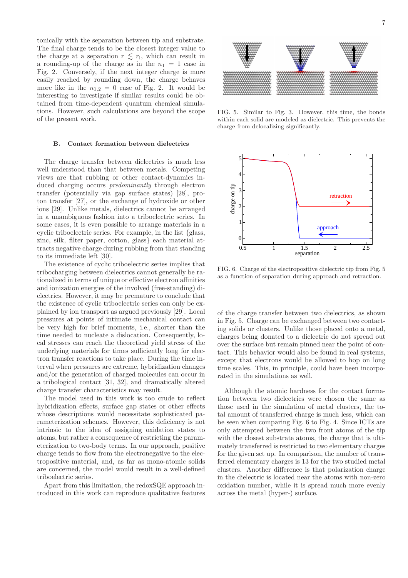tonically with the separation between tip and substrate. The final charge tends to be the closest integer value to the charge at a separation  $r \lesssim r_1$ , which can result in a rounding-up of the charge as in the  $n_1 = 1$  case in Fig. 2. Conversely, if the next integer charge is more easily reached by rounding down, the charge behaves more like in the  $n_{1,2} = 0$  case of Fig. 2. It would be interesting to investigate if similar results could be obtained from time-dependent quantum chemical simulations. However, such calculations are beyond the scope of the present work.

### B. Contact formation between dielectrics

The charge transfer between dielectrics is much less well understood than that between metals. Competing views are that rubbing or other contact-dynamics induced charging occurs predominantly through electron transfer (potentially via gap surface states) [28], proton transfer [27], or the exchange of hydroxide or other ions [29]. Unlike metals, dielectrics cannot be arranged in a unambiguous fashion into a triboelectric series. In some cases, it is even possible to arrange materials in a cyclic triboelectric series. For example, in the list {glass, zinc, silk, filter paper, cotton, glass} each material attracts negative charge during rubbing from that standing to its immediate left [30].

The existence of cyclic triboelectric series implies that tribocharging between dielectrics cannot generally be rationalized in terms of unique or effective electron affinities and ionization energies of the involved (free-standing) dielectrics. However, it may be premature to conclude that the existence of cyclic triboelectric series can only be explained by ion transport as argued previously [29]. Local pressures at points of intimate mechanical contact can be very high for brief moments, i.e., shorter than the time needed to nucleate a dislocation. Consequently, local stresses can reach the theoretical yield stress of the underlying materials for times sufficiently long for electron transfer reactions to take place. During the time interval when pressures are extreme, hybridization changes and/or the generation of charged molecules can occur in a tribological contact [31, 32], and dramatically altered charge transfer characteristics may result.

The model used in this work is too crude to reflect hybridization effects, surface gap states or other effects whose descriptions would necessitate sophisticated parameterization schemes. However, this deficiency is not intrinsic to the idea of assigning oxidation states to atoms, but rather a consequence of restricting the parameterization to two-body terms. In our approach, positive charge tends to flow from the electronegative to the electropositive material, and, as far as mono-atomic solids are concerned, the model would result in a well-defined triboelectric series.

Apart from this limitation, the redoxSQE approach introduced in this work can reproduce qualitative features



FIG. 5. Similar to Fig. 3. However, this time, the bonds within each solid are modeled as dielectric. This prevents the charge from delocalizing significantly.



FIG. 6. Charge of the electropositive dielectric tip from Fig. 5 as a function of separation during approach and retraction.

of the charge transfer between two dielectrics, as shown in Fig. 5. Charge can be exchanged between two contacting solids or clusters. Unlike those placed onto a metal, charges being donated to a dielectric do not spread out over the surface but remain pinned near the point of contact. This behavior would also be found in real systems, except that electrons would be allowed to hop on long time scales. This, in principle, could have been incorporated in the simulations as well.

Although the atomic hardness for the contact formation between two dielectrics were chosen the same as those used in the simulation of metal clusters, the total amount of transferred charge is much less, which can be seen when comparing Fig. 6 to Fig. 4. Since ICTs are only attempted between the two front atoms of the tip with the closest substrate atoms, the charge that is ultimately transferred is restricted to two elementary charges for the given set up. In comparison, the number of transferred elementary charges is 13 for the two studied metal clusters. Another difference is that polarization charge in the dielectric is located near the atoms with non-zero oxidation number, while it is spread much more evenly across the metal (hyper-) surface.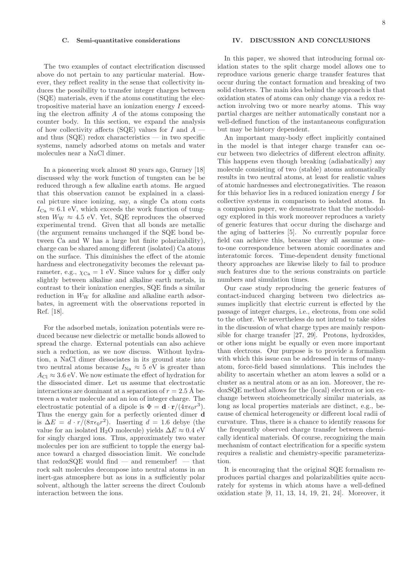### C. Semi-quantitative considerations

The two examples of contact electrification discussed above do not pertain to any particular material. However, they reflect reality in the sense that collectivity induces the possibility to transfer integer charges between (SQE) materials, even if the atoms constituting the electropositive material have an ionization energy I exceeding the electron affinity A of the atoms composing the counter body. In this section, we expand the analysis of how collectivity affects (SQE) values for  $I$  and  $A$  and thus  $(SQE)$  redox characteristics — in two specific systems, namely adsorbed atoms on metals and water molecules near a NaCl dimer.

In a pioneering work almost 80 years ago, Gurney [18] discussed why the work function of tungsten can be be reduced through a few alkaline earth atoms. He argued that this observation cannot be explained in a classical picture since ionizing, say, a single Ca atom costs  $I_{\text{Ca}} \approx 6.1 \text{ eV}$ , which exceeds the work function of tungsten  $W_W \approx 4.5$  eV. Yet, SQE reproduces the observed experimental trend. Given that all bonds are metallic (the argument remains unchanged if the SQE bond between Ca and W has a large but finite polarizability), charge can be shared among different (isolated) Ca atoms on the surface. This diminishes the effect of the atomic hardness and electronegativity becomes the relevant parameter, e.g.,  $\chi_{\text{Ca}} = 1$  eV. Since values for  $\chi$  differ only slightly between alkaline and alkaline earth metals, in contrast to their ionization energies, SQE finds a similar reduction in  $W_W$  for alkaline and alkaline earth adsorbates, in agreement with the observations reported in Ref. [18].

For the adsorbed metals, ionization potentials were reduced because new dielectric or metallic bonds allowed to spread the charge. External potentials can also achieve such a reduction, as we now discuss. Without hydration, a NaCl dimer dissociates in its ground state into two neutral atoms because  $I_{\text{Na}} \approx 5 \text{ eV}$  is greater than  $A_{\text{Cl}} \approx 3.6 \text{ eV}$ . We now estimate the effect of hydration for the dissociated dimer. Let us assume that electrostatic interactions are dominant at a separation of  $r = 2.5 \text{ Å}$  between a water molecule and an ion of integer charge. The electrostatic potential of a dipole is  $\Phi = \mathbf{d} \cdot \mathbf{r} / (4\pi\epsilon_0 r^3)$ . Thus the energy gain for a perfectly oriented dimer d is  $\Delta E = d \cdot r/(8\pi\epsilon_0 r^2)$ . Inserting  $d = 1.6$  debye (the value for an isolated H<sub>2</sub>O molecule) yields  $\Delta E \approx 0.4$  eV for singly charged ions. Thus, approximately two water molecules per ion are sufficient to topple the energy balance toward a charged dissociation limit. We conclude that  $redoxSQE$  would find  $-$  and remember!  $-$  that rock salt molecules decompose into neutral atoms in an inert-gas atmosphere but as ions in a sufficiently polar solvent, although the latter screens the direct Coulomb interaction between the ions.

# IV. DISCUSSION AND CONCLUSIONS

In this paper, we showed that introducing formal oxidation states to the split charge model allows one to reproduce various generic charge transfer features that occur during the contact formation and breaking of two solid clusters. The main idea behind the approach is that oxidation states of atoms can only change via a redox reaction involving two or more nearby atoms. This way partial charges are neither automatically constant nor a well-defined function of the instantaneous configuration but may be history dependent.

An important many-body effect implicitly contained in the model is that integer charge transfer can occur between two dielectrics of different electron affinity. This happens even though breaking (adiabatically) any molecule consisting of two (stable) atoms automatically results in two neutral atoms, at least for realistic values of atomic hardnesses and electronegativities. The reason for this behavior lies in a reduced ionization energy  $I$  for collective systems in comparison to isolated atoms. In a companion paper, we demonstrate that the methodology explored in this work moreover reproduces a variety of generic features that occur during the discharge and the aging of batteries [5]. No currently popular force field can achieve this, because they all assume a oneto-one correspondence between atomic coordinates and interatomic forces. Time-dependent density functional theory approaches are likewise likely to fail to produce such features due to the serious constraints on particle numbers and simulation times.

Our case study reproducing the generic features of contact-induced charging between two dielectrics assumes implicitly that electric current is effected by the passage of integer charges, i.e., electrons, from one solid to the other. We nevertheless do not intend to take sides in the discussion of what charge types are mainly responsible for charge transfer [27, 29]. Protons, hydroxides, or other ions might be equally or even more important than electrons. Our purpose is to provide a formalism with which this issue can be addressed in terms of manyatom, force-field based simulations. This includes the ability to ascertain whether an atom leaves a solid or a cluster as a neutral atom or as an ion. Moreover, the redoxSQE method allows for the (local) electron or ion exchange between stoicheometrically similar materials, as long as local properties materials are distinct, e.g., because of chemical heterogeneity or different local radii of curvature. Thus, there is a chance to identify reasons for the frequently observed charge transfer between chemically identical materials. Of course, recognizing the main mechanism of contact electrification for a specific system requires a realistic and chemistry-specific parameterization.

It is encouraging that the original SQE formalism reproduces partial charges and polarizabilities quite accurately for systems in which atoms have a well-defined oxidation state [9, 11, 13, 14, 19, 21, 24]. Moreover, it